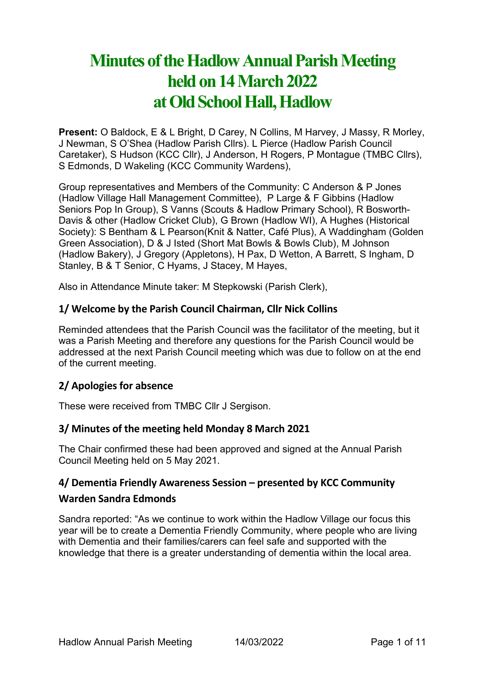# **Minutes of the Hadlow Annual Parish Meeting held on 14March 2022 at Old School Hall, Hadlow**

**Present:** O Baldock, E & L Bright, D Carey, N Collins, M Harvey, J Massy, R Morley, J Newman, S O'Shea (Hadlow Parish Cllrs). L Pierce (Hadlow Parish Council Caretaker), S Hudson (KCC Cllr), J Anderson, H Rogers, P Montague (TMBC Cllrs), S Edmonds, D Wakeling (KCC Community Wardens),

Group representatives and Members of the Community: C Anderson & P Jones (Hadlow Village Hall Management Committee), P Large & F Gibbins (Hadlow Seniors Pop In Group), S Vanns (Scouts & Hadlow Primary School), R Bosworth-Davis & other (Hadlow Cricket Club), G Brown (Hadlow WI), A Hughes (Historical Society): S Bentham & L Pearson(Knit & Natter, Café Plus), A Waddingham (Golden Green Association), D & J Isted (Short Mat Bowls & Bowls Club), M Johnson (Hadlow Bakery), J Gregory (Appletons), H Pax, D Wetton, A Barrett, S Ingham, D Stanley, B & T Senior, C Hyams, J Stacey, M Hayes,

Also in Attendance Minute taker: M Stepkowski (Parish Clerk),

## **1/ Welcome by the Parish Council Chairman, Cllr Nick Collins**

Reminded attendees that the Parish Council was the facilitator of the meeting, but it was a Parish Meeting and therefore any questions for the Parish Council would be addressed at the next Parish Council meeting which was due to follow on at the end of the current meeting.

## **2/ Apologies for absence**

These were received from TMBC Cllr J Sergison.

## **3/ Minutes of the meeting held Monday 8 March 2021**

The Chair confirmed these had been approved and signed at the Annual Parish Council Meeting held on 5 May 2021.

## **4/ Dementia Friendly Awareness Session – presented by KCC Community**

## **Warden Sandra Edmonds**

Sandra reported: "As we continue to work within the Hadlow Village our focus this year will be to create a Dementia Friendly Community, where people who are living with Dementia and their families/carers can feel safe and supported with the knowledge that there is a greater understanding of dementia within the local area.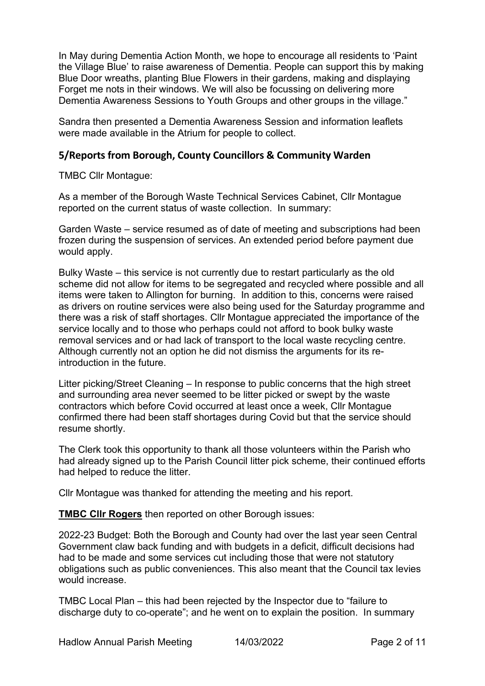In May during Dementia Action Month, we hope to encourage all residents to 'Paint the Village Blue' to raise awareness of Dementia. People can support this by making Blue Door wreaths, planting Blue Flowers in their gardens, making and displaying Forget me nots in their windows. We will also be focussing on delivering more Dementia Awareness Sessions to Youth Groups and other groups in the village."

Sandra then presented a Dementia Awareness Session and information leaflets were made available in the Atrium for people to collect.

## **5/Reports from Borough, County Councillors & Community Warden**

TMBC Cllr Montague:

As a member of the Borough Waste Technical Services Cabinet, Cllr Montague reported on the current status of waste collection. In summary:

Garden Waste – service resumed as of date of meeting and subscriptions had been frozen during the suspension of services. An extended period before payment due would apply.

Bulky Waste – this service is not currently due to restart particularly as the old scheme did not allow for items to be segregated and recycled where possible and all items were taken to Allington for burning. In addition to this, concerns were raised as drivers on routine services were also being used for the Saturday programme and there was a risk of staff shortages. Cllr Montague appreciated the importance of the service locally and to those who perhaps could not afford to book bulky waste removal services and or had lack of transport to the local waste recycling centre. Although currently not an option he did not dismiss the arguments for its reintroduction in the future.

Litter picking/Street Cleaning – In response to public concerns that the high street and surrounding area never seemed to be litter picked or swept by the waste contractors which before Covid occurred at least once a week, Cllr Montague confirmed there had been staff shortages during Covid but that the service should resume shortly.

The Clerk took this opportunity to thank all those volunteers within the Parish who had already signed up to the Parish Council litter pick scheme, their continued efforts had helped to reduce the litter.

Cllr Montague was thanked for attending the meeting and his report.

**TMBC Cllr Rogers** then reported on other Borough issues:

2022-23 Budget: Both the Borough and County had over the last year seen Central Government claw back funding and with budgets in a deficit, difficult decisions had had to be made and some services cut including those that were not statutory obligations such as public conveniences. This also meant that the Council tax levies would increase.

TMBC Local Plan – this had been rejected by the Inspector due to "failure to discharge duty to co-operate"; and he went on to explain the position. In summary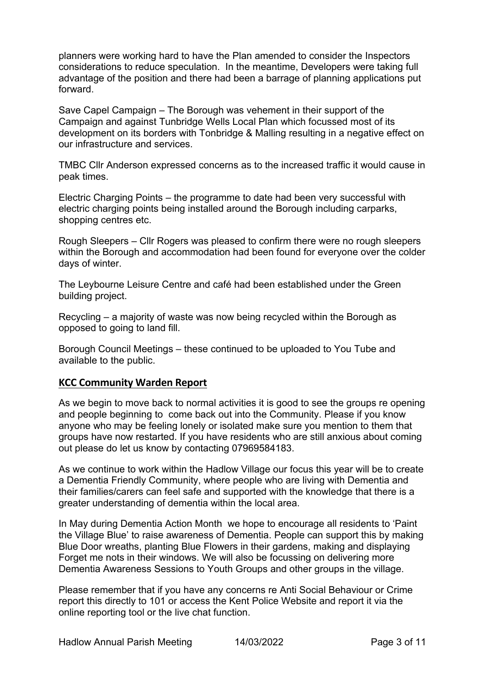planners were working hard to have the Plan amended to consider the Inspectors considerations to reduce speculation. In the meantime, Developers were taking full advantage of the position and there had been a barrage of planning applications put forward.

Save Capel Campaign – The Borough was vehement in their support of the Campaign and against Tunbridge Wells Local Plan which focussed most of its development on its borders with Tonbridge & Malling resulting in a negative effect on our infrastructure and services.

TMBC Cllr Anderson expressed concerns as to the increased traffic it would cause in peak times.

Electric Charging Points – the programme to date had been very successful with electric charging points being installed around the Borough including carparks, shopping centres etc.

Rough Sleepers – Cllr Rogers was pleased to confirm there were no rough sleepers within the Borough and accommodation had been found for everyone over the colder days of winter.

The Leybourne Leisure Centre and café had been established under the Green building project.

Recycling – a majority of waste was now being recycled within the Borough as opposed to going to land fill.

Borough Council Meetings – these continued to be uploaded to You Tube and available to the public.

#### **KCC Community Warden Report**

As we begin to move back to normal activities it is good to see the groups re opening and people beginning to come back out into the Community. Please if you know anyone who may be feeling lonely or isolated make sure you mention to them that groups have now restarted. If you have residents who are still anxious about coming out please do let us know by contacting 07969584183.

As we continue to work within the Hadlow Village our focus this year will be to create a Dementia Friendly Community, where people who are living with Dementia and their families/carers can feel safe and supported with the knowledge that there is a greater understanding of dementia within the local area.

In May during Dementia Action Month we hope to encourage all residents to 'Paint the Village Blue' to raise awareness of Dementia. People can support this by making Blue Door wreaths, planting Blue Flowers in their gardens, making and displaying Forget me nots in their windows. We will also be focussing on delivering more Dementia Awareness Sessions to Youth Groups and other groups in the village.

Please remember that if you have any concerns re Anti Social Behaviour or Crime report this directly to 101 or access the Kent Police Website and report it via the online reporting tool or the live chat function.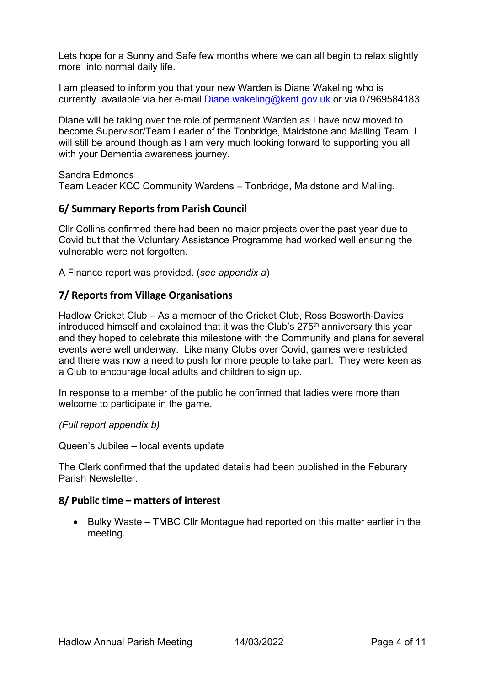Lets hope for a Sunny and Safe few months where we can all begin to relax slightly more into normal daily life.

I am pleased to inform you that your new Warden is Diane Wakeling who is currently available via her e-mail [Diane.wakeling@kent.gov.uk](mailto:Diane.wakeling@kent.gov.uk) or via 07969584183.

Diane will be taking over the role of permanent Warden as I have now moved to become Supervisor/Team Leader of the Tonbridge, Maidstone and Malling Team. I will still be around though as I am very much looking forward to supporting you all with your Dementia awareness journey.

Sandra Edmonds Team Leader KCC Community Wardens – Tonbridge, Maidstone and Malling.

## **6/ Summary Reports from Parish Council**

Cllr Collins confirmed there had been no major projects over the past year due to Covid but that the Voluntary Assistance Programme had worked well ensuring the vulnerable were not forgotten.

A Finance report was provided. (*see appendix a*)

## **7/ Reports from Village Organisations**

Hadlow Cricket Club – As a member of the Cricket Club, Ross Bosworth-Davies introduced himself and explained that it was the Club's 275<sup>th</sup> anniversary this vear and they hoped to celebrate this milestone with the Community and plans for several events were well underway. Like many Clubs over Covid, games were restricted and there was now a need to push for more people to take part. They were keen as a Club to encourage local adults and children to sign up.

In response to a member of the public he confirmed that ladies were more than welcome to participate in the game.

#### *(Full report appendix b)*

Queen's Jubilee – local events update

The Clerk confirmed that the updated details had been published in the Feburary Parish Newsletter.

## **8/ Public time – matters of interest**

• Bulky Waste – TMBC Cllr Montague had reported on this matter earlier in the meeting.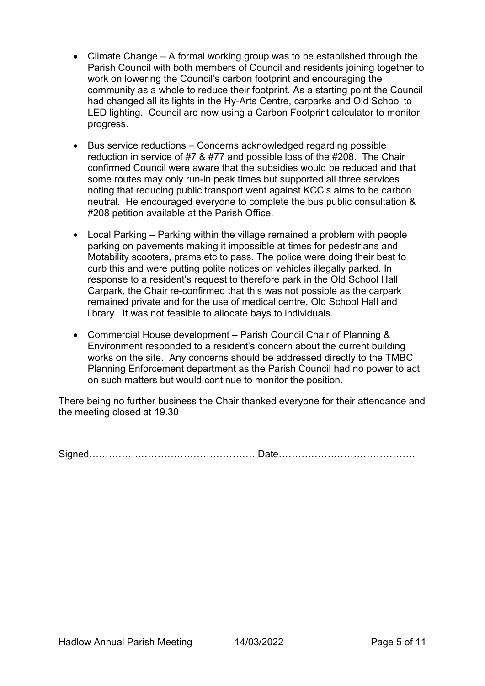- Climate Change A formal working group was to be established through the Parish Council with both members of Council and residents joining together to work on lowering the Council's carbon footprint and encouraging the community as a whole to reduce their footprint. As a starting point the Council had changed all its lights in the Hy-Arts Centre, carparks and Old School to LED lighting. Council are now using a Carbon Footprint calculator to monitor progress.
- Bus service reductions Concerns acknowledged regarding possible reduction in service of #7 & #77 and possible loss of the #208. The Chair confirmed Council were aware that the subsidies would be reduced and that some routes may only run-in peak times but supported all three services noting that reducing public transport went against KCC's aims to be carbon neutral. He encouraged everyone to complete the bus public consultation & #208 petition available at the Parish Office.
- Local Parking Parking within the village remained a problem with people parking on pavements making it impossible at times for pedestrians and Motability scooters, prams etc to pass. The police were doing their best to curb this and were putting polite notices on vehicles illegally parked. In response to a resident's request to therefore park in the Old School Hall Carpark, the Chair re-confirmed that this was not possible as the carpark remained private and for the use of medical centre, Old School Hall and library. It was not feasible to allocate bays to individuals.
- Commercial House development Parish Council Chair of Planning & Environment responded to a resident's concern about the current building works on the site. Any concerns should be addressed directly to the TMBC Planning Enforcement department as the Parish Council had no power to act on such matters but would continue to monitor the position.

There being no further business the Chair thanked everyone for their attendance and the meeting closed at 19.30

Signed…………………………………………… Date……………………………………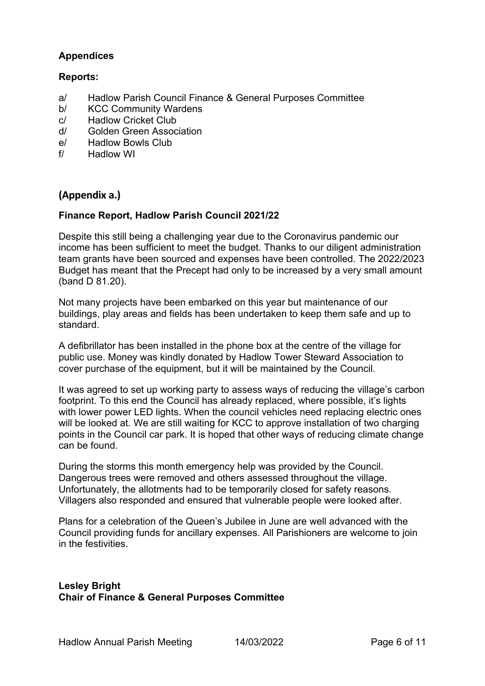## **Appendices**

## **Reports:**

- a/ Hadlow Parish Council Finance & General Purposes Committee
- b/ KCC Community Wardens
- c/ Hadlow Cricket Club
- d/ Golden Green Association
- e/ Hadlow Bowls Club
- f/ Hadlow WI

## **(Appendix a.)**

### **Finance Report, Hadlow Parish Council 2021/22**

Despite this still being a challenging year due to the Coronavirus pandemic our income has been sufficient to meet the budget. Thanks to our diligent administration team grants have been sourced and expenses have been controlled. The 2022/2023 Budget has meant that the Precept had only to be increased by a very small amount (band D 81.20).

Not many projects have been embarked on this year but maintenance of our buildings, play areas and fields has been undertaken to keep them safe and up to standard.

A defibrillator has been installed in the phone box at the centre of the village for public use. Money was kindly donated by Hadlow Tower Steward Association to cover purchase of the equipment, but it will be maintained by the Council.

It was agreed to set up working party to assess ways of reducing the village's carbon footprint. To this end the Council has already replaced, where possible, it's lights with lower power LED lights. When the council vehicles need replacing electric ones will be looked at. We are still waiting for KCC to approve installation of two charging points in the Council car park. It is hoped that other ways of reducing climate change can be found.

During the storms this month emergency help was provided by the Council. Dangerous trees were removed and others assessed throughout the village. Unfortunately, the allotments had to be temporarily closed for safety reasons. Villagers also responded and ensured that vulnerable people were looked after.

Plans for a celebration of the Queen's Jubilee in June are well advanced with the Council providing funds for ancillary expenses. All Parishioners are welcome to join in the festivities.

#### **Lesley Bright Chair of Finance & General Purposes Committee**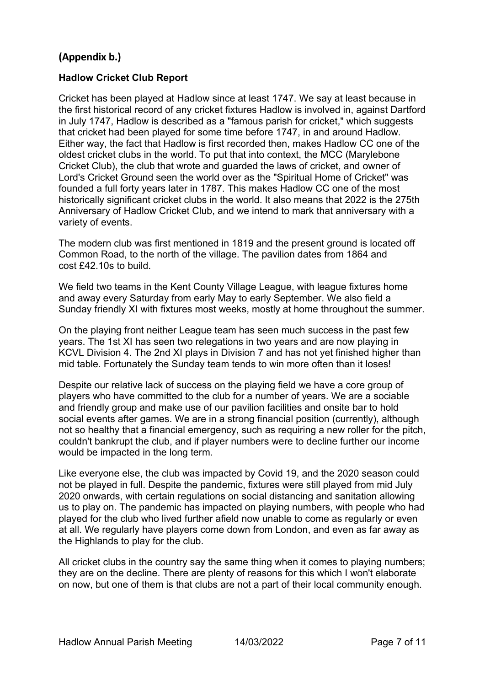# **(Appendix b.)**

#### **Hadlow Cricket Club Report**

Cricket has been played at Hadlow since at least 1747. We say at least because in the first historical record of any cricket fixtures Hadlow is involved in, against Dartford in July 1747, Hadlow is described as a "famous parish for cricket," which suggests that cricket had been played for some time before 1747, in and around Hadlow. Either way, the fact that Hadlow is first recorded then, makes Hadlow CC one of the oldest cricket clubs in the world. To put that into context, the MCC (Marylebone Cricket Club), the club that wrote and guarded the laws of cricket, and owner of Lord's Cricket Ground seen the world over as the "Spiritual Home of Cricket" was founded a full forty years later in 1787. This makes Hadlow CC one of the most historically significant cricket clubs in the world. It also means that 2022 is the 275th Anniversary of Hadlow Cricket Club, and we intend to mark that anniversary with a variety of events.

The modern club was first mentioned in 1819 and the present ground is located off Common Road, to the north of the village. The pavilion dates from 1864 and cost £42.10s to build.

We field two teams in the Kent County Village League, with league fixtures home and away every Saturday from early May to early September. We also field a Sunday friendly XI with fixtures most weeks, mostly at home throughout the summer.

On the playing front neither League team has seen much success in the past few years. The 1st XI has seen two relegations in two years and are now playing in KCVL Division 4. The 2nd XI plays in Division 7 and has not yet finished higher than mid table. Fortunately the Sunday team tends to win more often than it loses!

Despite our relative lack of success on the playing field we have a core group of players who have committed to the club for a number of years. We are a sociable and friendly group and make use of our pavilion facilities and onsite bar to hold social events after games. We are in a strong financial position (currently), although not so healthy that a financial emergency, such as requiring a new roller for the pitch, couldn't bankrupt the club, and if player numbers were to decline further our income would be impacted in the long term.

Like everyone else, the club was impacted by Covid 19, and the 2020 season could not be played in full. Despite the pandemic, fixtures were still played from mid July 2020 onwards, with certain regulations on social distancing and sanitation allowing us to play on. The pandemic has impacted on playing numbers, with people who had played for the club who lived further afield now unable to come as regularly or even at all. We regularly have players come down from London, and even as far away as the Highlands to play for the club.

All cricket clubs in the country say the same thing when it comes to playing numbers; they are on the decline. There are plenty of reasons for this which I won't elaborate on now, but one of them is that clubs are not a part of their local community enough.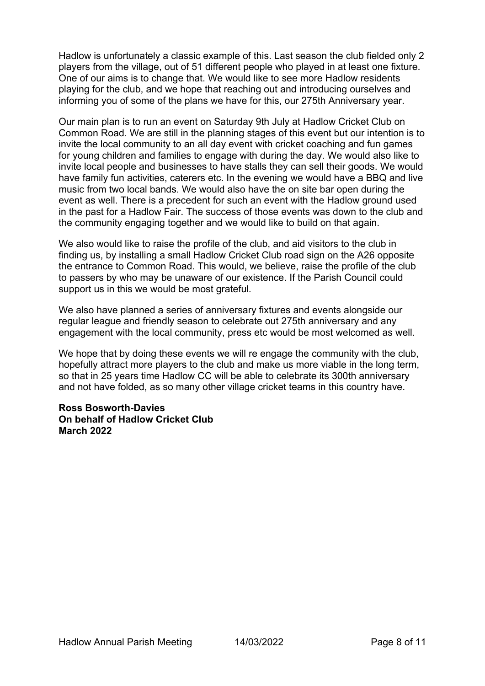Hadlow is unfortunately a classic example of this. Last season the club fielded only 2 players from the village, out of 51 different people who played in at least one fixture. One of our aims is to change that. We would like to see more Hadlow residents playing for the club, and we hope that reaching out and introducing ourselves and informing you of some of the plans we have for this, our 275th Anniversary year.

Our main plan is to run an event on Saturday 9th July at Hadlow Cricket Club on Common Road. We are still in the planning stages of this event but our intention is to invite the local community to an all day event with cricket coaching and fun games for young children and families to engage with during the day. We would also like to invite local people and businesses to have stalls they can sell their goods. We would have family fun activities, caterers etc. In the evening we would have a BBQ and live music from two local bands. We would also have the on site bar open during the event as well. There is a precedent for such an event with the Hadlow ground used in the past for a Hadlow Fair. The success of those events was down to the club and the community engaging together and we would like to build on that again.

We also would like to raise the profile of the club, and aid visitors to the club in finding us, by installing a small Hadlow Cricket Club road sign on the A26 opposite the entrance to Common Road. This would, we believe, raise the profile of the club to passers by who may be unaware of our existence. If the Parish Council could support us in this we would be most grateful.

We also have planned a series of anniversary fixtures and events alongside our regular league and friendly season to celebrate out 275th anniversary and any engagement with the local community, press etc would be most welcomed as well.

We hope that by doing these events we will re engage the community with the club, hopefully attract more players to the club and make us more viable in the long term, so that in 25 years time Hadlow CC will be able to celebrate its 300th anniversary and not have folded, as so many other village cricket teams in this country have.

**Ross Bosworth-Davies On behalf of Hadlow Cricket Club March 2022**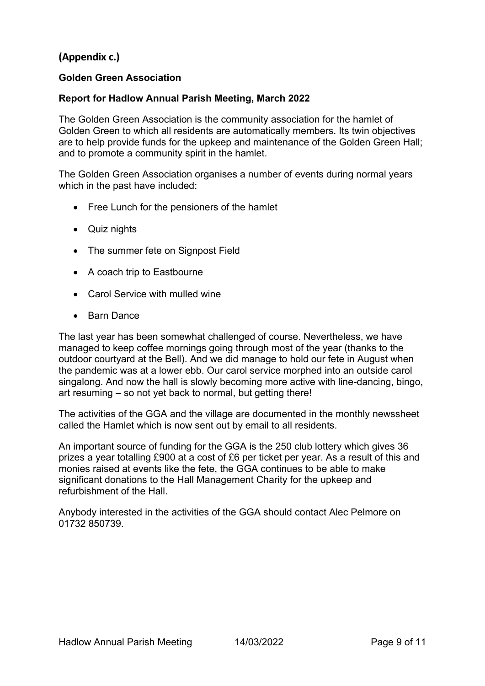# **(Appendix c.)**

## **Golden Green Association**

#### **Report for Hadlow Annual Parish Meeting, March 2022**

The Golden Green Association is the community association for the hamlet of Golden Green to which all residents are automatically members. Its twin objectives are to help provide funds for the upkeep and maintenance of the Golden Green Hall; and to promote a community spirit in the hamlet.

The Golden Green Association organises a number of events during normal years which in the past have included:

- Free Lunch for the pensioners of the hamlet
- Quiz nights
- The summer fete on Signpost Field
- A coach trip to Eastbourne
- Carol Service with mulled wine
- Barn Dance

The last year has been somewhat challenged of course. Nevertheless, we have managed to keep coffee mornings going through most of the year (thanks to the outdoor courtyard at the Bell). And we did manage to hold our fete in August when the pandemic was at a lower ebb. Our carol service morphed into an outside carol singalong. And now the hall is slowly becoming more active with line-dancing, bingo, art resuming – so not yet back to normal, but getting there!

The activities of the GGA and the village are documented in the monthly newssheet called the Hamlet which is now sent out by email to all residents.

An important source of funding for the GGA is the 250 club lottery which gives 36 prizes a year totalling £900 at a cost of £6 per ticket per year. As a result of this and monies raised at events like the fete, the GGA continues to be able to make significant donations to the Hall Management Charity for the upkeep and refurbishment of the Hall.

Anybody interested in the activities of the GGA should contact Alec Pelmore on 01732 850739.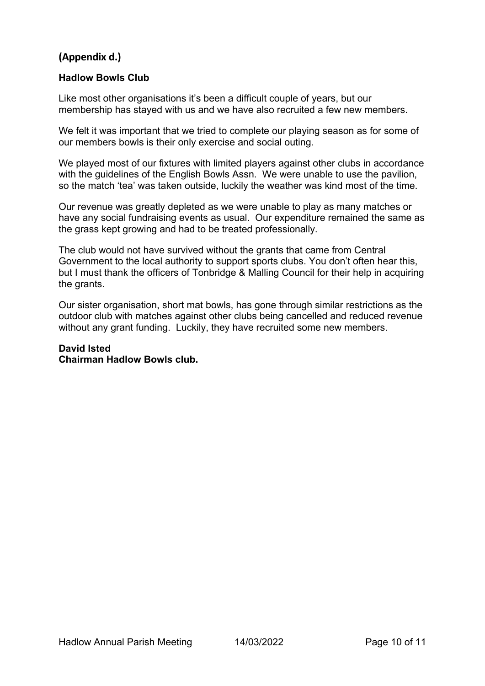# **(Appendix d.)**

### **Hadlow Bowls Club**

Like most other organisations it's been a difficult couple of years, but our membership has stayed with us and we have also recruited a few new members.

We felt it was important that we tried to complete our playing season as for some of our members bowls is their only exercise and social outing.

We played most of our fixtures with limited players against other clubs in accordance with the guidelines of the English Bowls Assn. We were unable to use the pavilion, so the match 'tea' was taken outside, luckily the weather was kind most of the time.

Our revenue was greatly depleted as we were unable to play as many matches or have any social fundraising events as usual. Our expenditure remained the same as the grass kept growing and had to be treated professionally.

The club would not have survived without the grants that came from Central Government to the local authority to support sports clubs. You don't often hear this, but I must thank the officers of Tonbridge & Malling Council for their help in acquiring the grants.

Our sister organisation, short mat bowls, has gone through similar restrictions as the outdoor club with matches against other clubs being cancelled and reduced revenue without any grant funding. Luckily, they have recruited some new members.

#### **David Isted Chairman Hadlow Bowls club.**